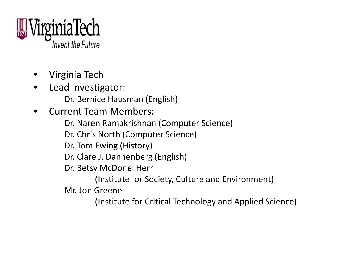

- •Virginia Tech
- •**•** Lead Investigator:
	- Dr. Bernice Hausman (English)
- • Current Team Members:
	- Dr. Naren Ramakrishnan (Computer Science)
	- Dr. Chris North (Computer Science)
	- Dr. Tom Ewing (History)
	- Dr. Clare J. Dannenberg (English)
	- Dr. Betsy McDonel Herr
		- (Institute for Society, Culture and Environment)
	- Mr. Jon Greene
		- (Institute for Critical Technology and Applied Science)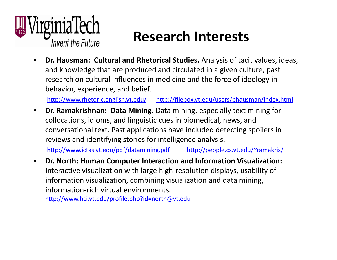

## **Research Interests**

• **Dr. Hausman: Cultural and Rhetorical Studies.** Analysis of tacit values, ideas, and knowledge that are produced and circulated in <sup>a</sup> given culture; past research on cultural influences in medicine and the force of ideology in behavior, experience, and belief.

<http://www.rhetoric.english.vt.edu/> <http://filebox.vt.edu/users/bhausman/index.html>

 $\bullet$  **Dr. Ramakrishnan: Data Mining.** Data mining, especially text mining for collocations, idioms, and linguistic cues in biomedical, news, and conversational text. Past applications have included detecting spoilers in reviews and identifying stories for intelligence analysis.

<http://www.ictas.vt.edu/pdf/datamining.pdf> <http://people.cs.vt.edu/~ramakris/>

 $\bullet$  **Dr. North: Human Computer Interaction and Information Visualization:** Interactive visualization with large high‐resolution displays, usability of information visualization, combining visualization and data mining, information‐rich virtual environments.

<http://www.hci.vt.edu/profile.php?id=north@vt.edu>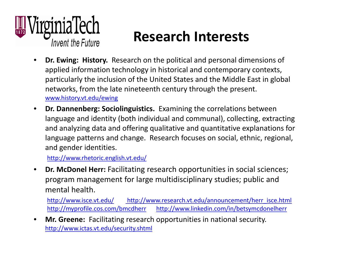

## **Research Interests**

- • **Dr. Ewing: History.** Research on the political and personal dimensions of applied information technology in historical and contemporary contexts, particularly the inclusion of the United States and the Middle East in global networks, from the late nineteenth century through the present. [www.history.vt.edu/ewing](http://www.history.vt.edu/ewing)
- • **Dr. Dannenberg: Sociolinguistics.** Examining the correlations between language and identity (both individual and communal), collecting, extracting and analyzing data and offering qualitative and quantitative explanations for language patterns and change. Research focuses on social, ethnic, regional, and gender identities.

<http://www.rhetoric.english.vt.edu/>

• **Dr. McDonel Herr:** Facilitating research opportunities in social sciences; program management for large multidisciplinary studies; public and mental health.

<http://www.isce.vt.edu/> [http://www.research.vt.edu/announcement/herr\\_isce.html](http://www.research.vt.edu/announcement/herr_isce.html) <http://myprofile.cos.com/bmcdherr> <http://www.linkedin.com/in/betsymcdonelherr>

• **Mr. Greene:** Facilitating research opportunities in national security. <http://www.ictas.vt.edu/security.shtml>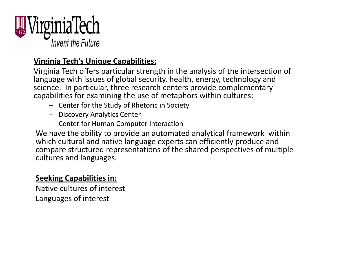

#### **Virginia Tech's Unique Capabilities:**

Virginia Tech offers particular strength in the analysis of the intersection of language with issues of global security, health, energy, technology and science. In particular, three research centers provide complementary capabilities for examining the use of metaphors within cultures:

- Center for the Study of Rhetoric in Society
- Discovery Analytics Center
- Center for Human Computer Interaction

We have the ability to provide an automated analytical framework within which cultural and native language experts can efficiently produce and compare structured representations of the shared perspectives of multiple cultures and languages.

#### **Seeking Capabilities in:**

Native cultures of interest Languages of interest